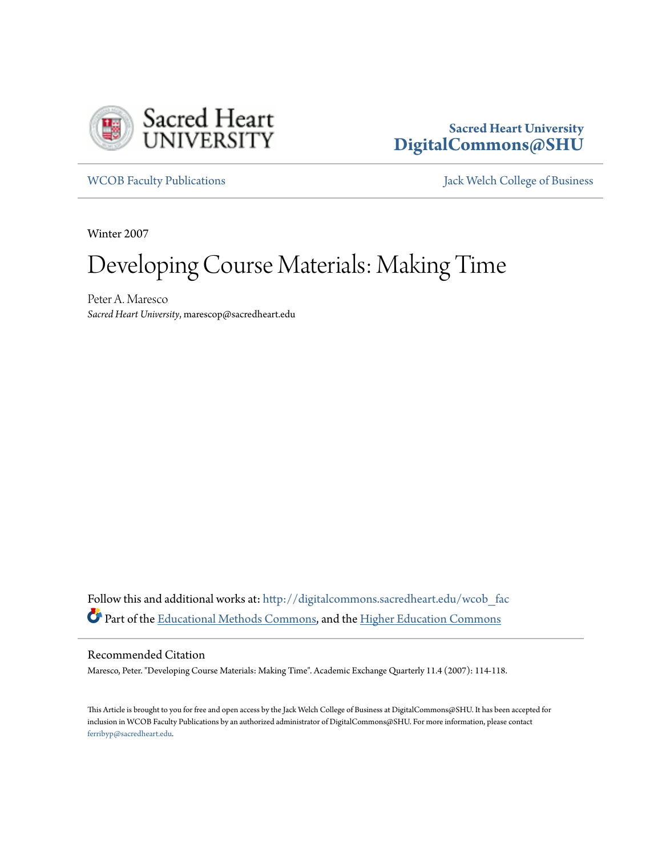

# **Sacred Heart University [DigitalCommons@SHU](http://digitalcommons.sacredheart.edu?utm_source=digitalcommons.sacredheart.edu%2Fwcob_fac%2F215&utm_medium=PDF&utm_campaign=PDFCoverPages)**

[WCOB Faculty Publications](http://digitalcommons.sacredheart.edu/wcob_fac?utm_source=digitalcommons.sacredheart.edu%2Fwcob_fac%2F215&utm_medium=PDF&utm_campaign=PDFCoverPages) **MECOB** Faculty Publications **Accord Publications** [Jack Welch College of Business](http://digitalcommons.sacredheart.edu/wcob?utm_source=digitalcommons.sacredheart.edu%2Fwcob_fac%2F215&utm_medium=PDF&utm_campaign=PDFCoverPages)

Winter 2007

# Developing Course Materials: Making Time

Peter A. Maresco *Sacred Heart University*, marescop@sacredheart.edu

Follow this and additional works at: [http://digitalcommons.sacredheart.edu/wcob\\_fac](http://digitalcommons.sacredheart.edu/wcob_fac?utm_source=digitalcommons.sacredheart.edu%2Fwcob_fac%2F215&utm_medium=PDF&utm_campaign=PDFCoverPages) Part of the [Educational Methods Commons,](http://network.bepress.com/hgg/discipline/1227?utm_source=digitalcommons.sacredheart.edu%2Fwcob_fac%2F215&utm_medium=PDF&utm_campaign=PDFCoverPages) and the [Higher Education Commons](http://network.bepress.com/hgg/discipline/1245?utm_source=digitalcommons.sacredheart.edu%2Fwcob_fac%2F215&utm_medium=PDF&utm_campaign=PDFCoverPages)

# Recommended Citation

Maresco, Peter. "Developing Course Materials: Making Time". Academic Exchange Quarterly 11.4 (2007): 114-118.

This Article is brought to you for free and open access by the Jack Welch College of Business at DigitalCommons@SHU. It has been accepted for inclusion in WCOB Faculty Publications by an authorized administrator of DigitalCommons@SHU. For more information, please contact [ferribyp@sacredheart.edu](mailto:ferribyp@sacredheart.edu).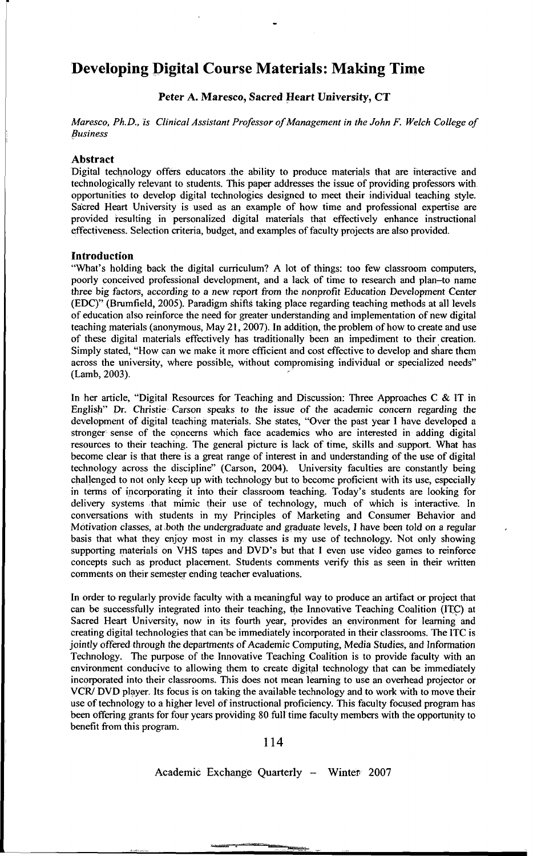# **Developing Digital Course Materials: Making Time**

Peter A. Maresco, Sacred Heart University, CT

*Maresco, Ph.D., is Clinical Assistant Professor of Management in the John F. Welch College of Business* 

# Abstract

Digital technology offers educators the ability to produce materials that are interactive and technologically relevant to students. This paper addresses the issue of providing professors with opportunities to develop digital technologies designed to meet their individual teaching style. Sacred Heart University is used as an example of how time and professional expertise are provided resulting in personalized digital materials that effectively enhance instructional effectiveness. Selection criteria, budget, and examples of faculty projects are also provided.

#### Introduction

"What's holding back the digital curriculum? A lot of things: too few classroom computers, poorly conceived professional development, and a lack of time to research and plan-to name three big factors, according to a new report from the nonprofit Education Development Center (EDC)" (Brumfield, 2005). Paradigm shifts taking place regarding teaching methods at all levels of education also reinforce the need for greater understanding and implementation of new digital teaching materials (anonymous, May 21, 2007). In addition, the problem of how to create and use of these digital materials effectively has traditionally been an impediment to their creation. Simply stated, "How can we make it more efficient and cost effective to develop and share them across the university, where possible, without compromising individual or specialized needs" (Lamb, 2003).

In her article, "Digital Resources for Teaching and Discussion: Three Approaches C & IT in English" Dr. Christie Carson speaks to the issue of the academic concern regarding the development of digital teaching materials. She states, "Over the past year I have developed a stronger sense of the concerns which face academics who are interested in adding digital resources to their teaching. The general picture is lack of time, skills and support. What has become clear is that there is a great range of interest in and understanding of the use of digital technology across the discipline" (Carson, 2004). University faculties are constantly being challenged to not only keep up with technology but to become proficient with its use, especially in terms of incorporating it into their classroom teaching. Today's students are looking for delivery systems that mimic their use of technology, much of which is interactive. In conversations with students in my Principles of Marketing and Consumer Behavior and Motivation classes, at both the undergraduate and graduate levels, I have been told on a regular basis that what they enjoy most in my classes is my use of technology. Not only showing supporting materials on VHS tapes and DVD's but that I even use video games to reinforce concepts such as product placement. Students comments verify this as seen in their written comments on their semester ending teacher evaluations.

In order to regularly provide faculty with a meaningful way to produce an artifact or project that can be successfully integrated into their teaching, the Innovative Teaching Coalition (ITC) at Sacred Heart University, now in its fourth year, provides an environment for learning and creating digital technologies that can be immediately incorporated in their classrooms. The ITC is jointly offered through the departments of Academic Computing, Media Studies, and Information Technology. The purpose of the Innovative Teaching Coalition is to provide faculty with an environment conducive to allowing them to create digital technology that can be immediately incorporated into their classrooms. This does not mean learning to use an overhead projector or VCR/ DVD player. Its focus is on taking the available technology and to work with to move their use of technology to a higher level of instructional proficiency. This faculty focused program has been offering grants for four years providing 80 full time faculty members with the opportunity to benefit from this program.

114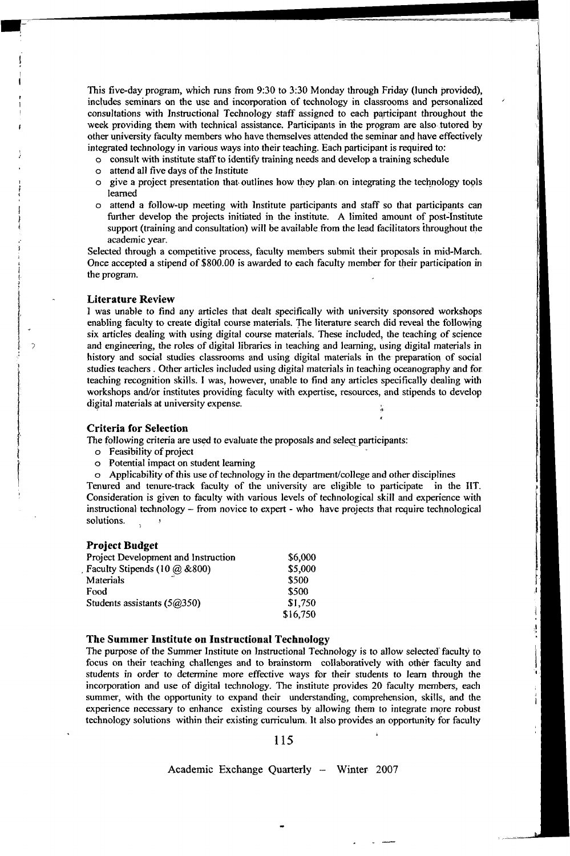This five-day program, which runs from 9:30 to 3:30 Monday through Friday (lunch provided), includes seminars on the use and incorporation of technology in classrooms and personalized consultations with Instructional Technology staff assigned to each participant throughout the week providing them with technical assistance. Participants in the program are also tutored by other university faculty members who have themselves attended the seminar and have effectively integrated technology in various ways into their teaching. Each participant is required to:

- o consult with institute staff to identify training needs and develop a training schedule
- o attend all five days of the Institute
- $\circ$  give a project presentation that outlines how they plan, on integrating the technology tools learned
- o attend a follow-up meeting with Institute participants and staff so that participants can further develop the projects initiated in the institute. A limited amount of post-Institute support (training and consultation) will be available from the lead facilitators throughout the academic year.

Selected through a competitive process, faculty members submit their proposals in mid-March. Once accepted a stipend of \$800.00 is awarded to each faculty member for their participation in the program.

# **Literature Review**

 $\rightarrow$ 

I was unable to find any articles that dealt specifically with university sponsored workshops enabling faculty to create digital course materials. The literature search did reveal the following six articles dealing with using digital course materials. These included, the teaching of science and engineering, the roles of digital libraries in teaching and learning, using digital materials in history and social studies classrooms and using digital materials in the preparation of social studies teachers . Other articles included using digital materials in teaching oceanography and for teaching recognition skills. I was, however, unable to find any articles specifically dealing with workshops and/or institutes providing faculty with expertise, resources, and stipends to develop digital materials at university expense.

# **Criteria for Selection**

The following criteria are used to evaluate the proposals and select participants:

- o Feasibility of project
- o Potential impact on student learning
- o Applicability of this use of technology in the department/college and other disciplines

Tenured and tenure-track faculty of the university are eligible to participate in the IIT. Consideration is given to faculty with various levels of technological skill and experience with instructional technology - from novice to expert - who have projects that require technological solutions. *>* 

# **Project Budget**

| Project Development and Instruction | \$6,000  |
|-------------------------------------|----------|
| Faculty Stipends (10 @ &800)        | \$5,000  |
| Materials                           | \$500    |
| Food                                | \$500    |
| Students assistants $(5@350)$       | \$1,750  |
|                                     | \$16,750 |

# **The Summer Institute on Instructional Technology**

The purpose of the Summer Institute on Instructional Technology is to allow selected faculty to focus on their teaching challenges and to brainstorm collaboratively with other faculty and students in order to determine more effective ways for their students to learn through the incorporation and use of digital technology. The institute provides 20 faculty members, each summer, with the opportunity to expand their understanding, comprehension, skills, and the experience necessary to enhance existing courses by allowing them to integrate more robust technology solutions within their existing curriculum. It also provides an opportunity for faculty

# 115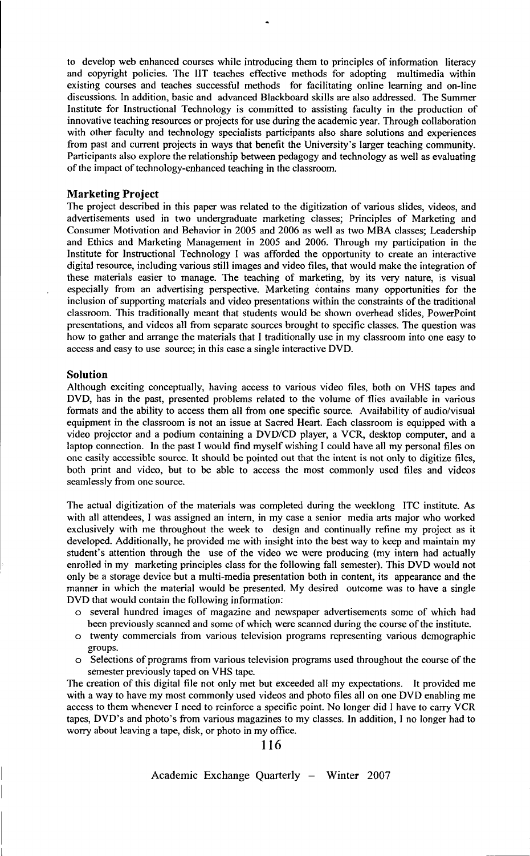to develop web enhanced courses while introducing them to principles of information literacy and copyright policies. The IIT teaches effective methods for adopting multimedia within existing courses and teaches successful methods for facilitating online learning and on-line discussions. In addition, basic and advanced Blackboard skills are also addressed. The Summer Institute for Instructional Technology is committed to assisting faculty in the production of innovative teaching resources or projects for use during the academic year. Through collaboration with other faculty and technology specialists participants also share solutions and experiences from past and current projects in ways that benefit the University's larger teaching community. Participants also explore the relationship between pedagogy and technology as well as evaluating of the impact of technology-enhanced teaching in the classroom.

#### **Marketing Project**

The project described in this paper was related to the digitization of various slides, videos, and advertisements used in two undergraduate marketing classes; Principles of Marketing and Consumer Motivation and Behavior in 2005 and 2006 as well as two MBA classes; Leadership and Ethics and Marketing Management in 2005 and 2006. Through my participation in the Institute for Instructional Technology I was afforded the opportunity to create an interactive digital resource, including various still images and video files, that would make the integration of these materials easier to manage. The teaching of marketing, by its very nature, is visual especially from an advertising perspective. Marketing contains many opportunities for the inclusion of supporting materials and video presentations within the constraints of the traditional classroom. This traditionally meant that students would be shown overhead slides, PowerPoint presentations, and videos all from separate sources brought to specific classes. The question was how to gather and arrange the materials that I traditionally use in my classroom into one easy to access and easy to use source; in this case a single interactive DVD.

#### **Solution**

Although exciting conceptually, having access to various video files, both on VHS tapes and DVD, has in the past, presented problems related to the volume of flies available in various formats and the ability to access them all from one specific source. Availability of audio/visual equipment in the classroom is not an issue at Sacred Heart. Each classroom is equipped with a video projector and a podium containing a DVD/CD player, a VCR, desktop computer, and a laptop connection. In the past I would find myself wishing I could have all my personal files on one easily accessible source. It should be pointed out that the intent is not only to digitize files, both print and video, but to be able to access the most commonly used files and videos seamlessly from one source.

The actual digitization of the materials was completed during the weeklong ITC institute. As with all attendees, I was assigned an intern, in my case a senior media arts major who worked exclusively with me throughout the week to design and continually refine my project as it developed. Additionally, he provided me with insight into the best way to keep and maintain my student's attention through the use of the video we were producing (my intern had actually enrolled in my marketing principles class for the following fall semester). This DVD would not only be a storage device but a multi-media presentation both in content, its appearance and the manner in which the material would be presented. My desired outcome was to have a single DVD that would contain the following information:

- o several hundred images of magazine and newspaper advertisements some of which had been previously scanned and some of which were scanned during the course of the institute.
- o twenty commercials from various television programs representing various demographic groups.
- o Selections of programs from various television programs used throughout the course of the semester previously taped on VHS tape.

The creation of this digital file not only met but exceeded all my expectations. It provided me with a way to have my most commonly used videos and photo files all on one DVD enabling me access to them whenever I need to reinforce a specific point. No longer did I have to carry VCR tapes, DVD's and photo's from various magazines to my classes. In addition, I no longer had to worry about leaving a tape, disk, or photo in my office.

116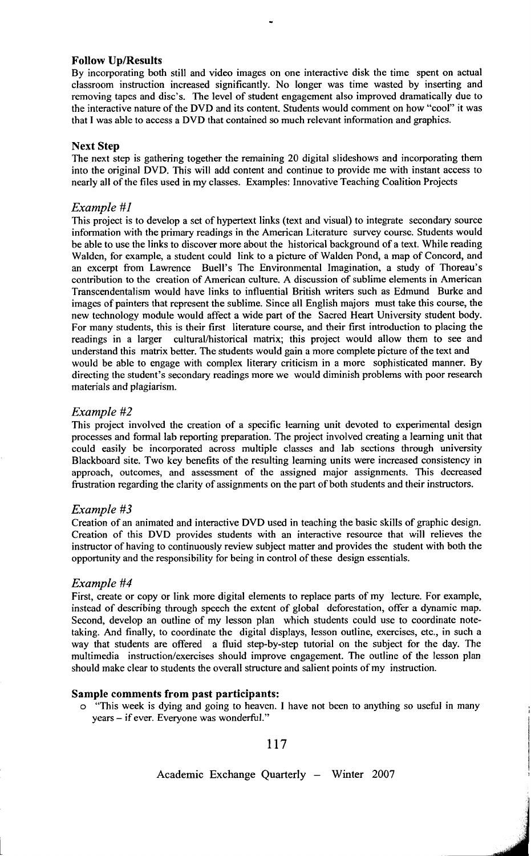# **Follow Up/Results**

By incorporating both still and video images on one interactive disk the time spent on actual classroom instruction increased significantly. No longer was time wasted by inserting and removing tapes and disc's. The level of student engagement also improved dramatically due to the interactive nature of the DVD and its content. Students would comment on how "cool" it was that I was able to access a DVD that contained so much relevant information and graphics.

# **Next Step**

The next step is gathering together the remaining 20 digital slideshows and incorporating them into the original DVD. This will add content and continue to provide me with instant access to nearly all of the files used in my classes. Examples: Innovative Teaching Coalition Projects

# *Example #1*

This project is to develop a set of hypertext links (text and visual) to integrate secondary source information with the primary readings in the American Literature survey course. Students would be able to use the links to discover more about the historical background of a text. While reading Walden, for example, a student could link to a picture of Walden Pond, a map of Concord, and an excerpt from Lawrence Buell's The Environmental Imagination, a study of Thoreau's contribution to the creation of American culture. A discussion of sublime elements in American Transcendentalism would have links to influential British writers such as Edmund Burke and images of painters that represent the sublime. Since all English majors must take this course, the new technology module would affect a wide part of the Sacred Heart University student body. For many students, this is their first literature course, and their first introduction to placing the readings in a larger cultural/historical matrix; this project would allow them to see and understand this matrix better. The students would gain a more complete picture of the text and would be able to engage with complex literary criticism in a more sophisticated manner. By directing the student's secondary readings more we would diminish problems with poor research materials and plagiarism.

# *Example #2*

This project involved the creation of a specific learning unit devoted to experimental design processes and formal lab reporting preparation. The project involved creating a learning unit that could easily be incorporated across multiple classes and lab sections through university Blackboard site. Two key benefits of the resulting learning units were increased consistency in approach, outcomes, and assessment of the assigned major assignments. This decreased frustration regarding the clarity of assignments on the part of both students and their instructors.

# *Example* #3

Creation of an animated and interactive DVD used in teaching the basic skills of graphic design. Creation of this DVD provides students with an interactive resource that will relieves the instructor of having to continuously review subject matter and provides the student with both the opportunity and the responsibility for being in control of these design essentials.

# *Example #4*

First, create or copy or link more digital elements to replace parts of my lecture. For example, instead of describing through speech the extent of global deforestation, offer a dynamic map. Second, develop an outline of my lesson plan which students could use to coordinate notetaking. And finally, to coordinate the digital displays, lesson outline, exercises, etc., in such a way that students are offered a fluid step-by-step tutorial on the subject for the day. The multimedia instruction/exercises should improve engagement. The outline of the lesson plan should make clear to students the overall structure and salient points of my instruction.

# **Sample comments from past participants:**

o "This week is dying and going to heaven. I have not been to anything so useful in many years - if ever. Everyone was wonderful."

117

# Academic Exchange Quarterly - Winter 2007

**J**